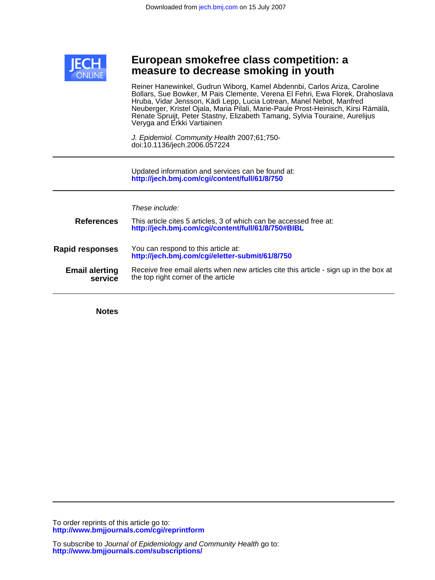

# **measure to decrease smoking in youth European smokefree class competition: a**

Veryga and Erkki Vartiainen Renate Spruijt, Peter Stastny, Elizabeth Tamang, Sylvia Touraine, Aurelijus Neuberger, Kristel Ojala, Maria Pilali, Marie-Paule Prost-Heinisch, Kirsi Rämälä, Hruba, Vidar Jensson, Kädi Lepp, Lucia Lotrean, Manel Nebot, Manfred Bollars, Sue Bowker, M Pais Clemente, Verena El Fehri, Ewa Florek, Drahoslava Reiner Hanewinkel, Gudrun Wiborg, Kamel Abdennbi, Carlos Ariza, Caroline

doi:10.1136/jech.2006.057224 J. Epidemiol. Community Health 2007;61;750-

**<http://jech.bmj.com/cgi/content/full/61/8/750>** Updated information and services can be found at:

These include:

| <b>References</b>                | This article cites 5 articles, 3 of which can be accessed free at:<br>http://jech.bmj.com/cgi/content/full/61/8/750#BIBL     |
|----------------------------------|------------------------------------------------------------------------------------------------------------------------------|
| <b>Rapid responses</b>           | You can respond to this article at:<br>http://jech.bmj.com/cgi/eletter-submit/61/8/750                                       |
| <b>Email alerting</b><br>service | Receive free email alerts when new articles cite this article - sign up in the box at<br>the top right corner of the article |

**Notes**

**<http://www.bmjjournals.com/cgi/reprintform>** To order reprints of this article go to: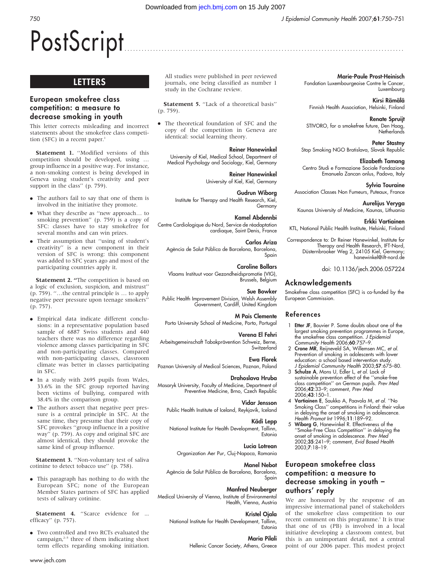Marie-Paule Prost-Heinisch

Luxembourg Kirsi Rämälä

Renate Spruijt

Peter Stastny

Elizabeth Tamang

Sylvia Touraine

Fondation Luxembourgeoise Contre le Cancer,

Finnish Health Association, Helsinki, Finland

STIVORO, for a smokefree future, Den Haag, Netherlands

Stop Smoking NGO Bratislava, Slovak Republic

Centro Studi e Formazione Sociale Fondazione Emanuela Zancan onlus, Padova, Italy

# PostScript ............................................................... ...................................

# **LETTERS**

# European smokefree class competition: a measure to decrease smoking in youth

This letter corrects misleading and incorrect statements about the smokefree class competition (SFC) in a recent paper. $1$ 

Statement 1. "Modified versions of this competition should be developed, using … group influence in a positive way. For instance, a non-smoking contest is being developed in Geneva using student's creativity and peer support in the class" (p. 759).

- The authors fail to say that one of them is involved in the initiative they promote.
- What they describe as "new approach... to smoking prevention'' (p. 759) is a copy of SFC: classes have to stay smokefree for several months and can win prizes.
- Their assumption that "using of student's creativity'' is a new component in their version of SFC is wrong: this component was added to SFC years ago and most of the participating countries apply it.

Statement 2. "The competition is based on a logic of exclusion, suspicion, and mistrust'' (p. 759). ''…the central principle is … to apply negative peer pressure upon teenage smokers'' (p. 757).

- N Empirical data indicate different conclusions: in a representative population based sample of 6887 Swiss students and 440 teachers there was no difference regarding violence among classes participating in SFC and non-participating classes. Compared with non-participating classes, classroom climate was better in classes participating in SFC.
- In a study with 2695 pupils from Wales, 33.6% in the SFC group reported having been victims of bullying, compared with 38.4% in the comparison group.
- The authors assert that negative peer pressure is a central principle in SFC. At the same time, they presume that their copy of SFC provokes ''group influence in a positive way'' (p. 759). As copy and original SFC are almost identical, they should provoke the same kind of group influence.

Statement 3. "Non-voluntary test of saliva cotinine to detect tobacco use'' (p. 758).

• This paragraph has nothing to do with the European SFC; none of the European Member States partners of SFC has applied tests of salivary cotinine.

Statement 4. "Scarce evidence for ... efficacy'' (p. 757).

• Two controlled and two RCTs evaluated the campaign, $2-5$  three of them indicating short term effects regarding smoking initiation.

All studies were published in peer reviewed journals, one being classified as number 1 study in the Cochrane review.

Statement 5. "Lack of a theoretical basis" (p. 759).

• The theoretical foundation of SFC and the copy of the competition in Geneva are identical: social learning theory.

# Reiner Hanewinkel

University of Kiel, Medical School, Department of Medical Psychology and Sociology, Kiel, Germany

# Reiner Hanewinkel

University of Kiel, Kiel, Germany

# Gudrun Wiborg

Institute for Therapy and Health Research, Kiel, **Germany** 

# Kamel Abdennbi

Centre Cardiologique du Nord, Service de réadaptation cardiaque, Saint Denis, France

### Carlos Ariza

Agència de Salut Pública de Barcelona, Barcelona, Spain

# Caroline Bollars

Vlaams Instituut voor Gezondheidspromotie (VIG), Brussels, Belgium

# Sue Bowker

Public Health Improvement Division, Welsh Assembly Government, Cardiff, United Kingdom

# M Pais Clemente

Porto University School of Medicine, Porto, Portugal

# Verena El Fehri

Arbeitsgemeinschaft Tabakprävention Schweiz, Berne, **Switzerland** 

# Ewa Florek

Poznan University of Medical Sciences, Poznan, Poland

# Drahoslava Hruba

Masaryk University, Faculty of Medicine, Department of Preventive Medicine, Brno, Czech Republic

### Vidar Jensson

in delaying the onset of smoking in adolescence. Health Promot Int 1996;11:189–92.

''Smoke-Free Class Competition'' in delaying the onset of smoking in adolescence. Prev Med 2002;35:241–9; comment, Evid Based Health 2003;7:18–19.

# European smokefree class competition: a measure to decrease smoking in youth – authors' reply

We are honoured by the response of an impressive international panel of stakeholders of the smokefree class competition to our recent comment on this programme.<sup>1</sup> It is true that one of us (PB) is involved in a local initiative developing a classroom contest, but this is an unimportant detail, not a central point of our 2006 paper. This modest project

Association Classes Non Fumeurs, Puteaux, France Aurelijus Veryga Kaunas University of Medicine, Kaunas, Lithuania

# Erkki Vartiainen

KTL, National Public Health Institute, Helsinki, Finland

Correspondence to: Dr Reiner Hanewinkel, Institute for Therapy and Health Research, IFT-Nord, Düsternbrooker Weg 2, 24105 Kiel, Germany; hanewinkel@ift-nord.de

doi: 10.1136/jech.2006.057224

# Acknowledgements

Smokefree class competition (SFC) is co-funded by the European Commission.

# References

- 1 **Etter JF**, Bouvier P. Some doubts about one of the largest smoking prevention programmes in Europe, the smokefree class competition. *J Epidemio*<br>Community Health 2006;**60**:757–9.
- 2 Crone MR, Reijneveld SA, Willemsen MC, et al. Prevention of smoking in adolescents with lower education: a school based intervention study.
- J Epidemiol Community Health 2003;57:675–80. 3 Schulze A, Mons U, Edler L, et al. Lack of sustainable prevention effect of the ''smoke-free class competition'' on German pupils. Prev Med 2006;42:33–9; comment, Prev Med 2006;43:150–1.
- 4 Vartiainen E, Saukko A, Paavola M, et al. ''No Smoking Class'' competitions in Finland: their value
- 5 Wiborg G, Hanewinkel R. Effectiveness of the

Public Health Institute of Iceland, Reykjavík, Iceland Kädi Lepp National Institute for Health Development, Tallinn,

# Lucia Lotrean

Estonia

Organization Aer Pur, Cluj-Napoca, Romania

# Manel Nebot

Agència de Salut Pública de Barcelona, Barcelona, Spain

# Manfred Neuberger

Medical University of Vienna, Institute of Environmental Health, Vienna, Austria

# Kristel Ojala

National Institute for Health Development, Tallinn, Estonia

### Maria Pilali

Hellenic Cancer Society, Athens, Greece